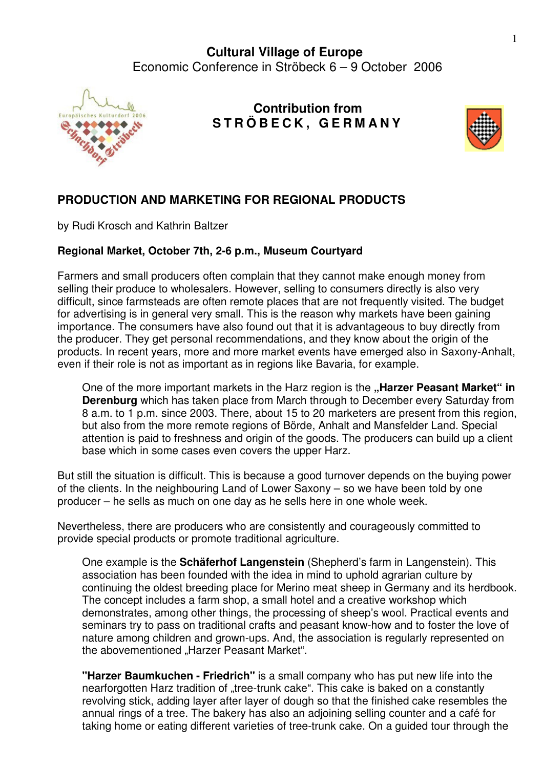

## **Contribution from S T R Ö B E C K , G E R M A N Y**



## **PRODUCTION AND MARKETING FOR REGIONAL PRODUCTS**

by Rudi Krosch and Kathrin Baltzer

## **Regional Market, October 7th, 2-6 p.m., Museum Courtyard**

Farmers and small producers often complain that they cannot make enough money from selling their produce to wholesalers. However, selling to consumers directly is also very difficult, since farmsteads are often remote places that are not frequently visited. The budget for advertising is in general very small. This is the reason why markets have been gaining importance. The consumers have also found out that it is advantageous to buy directly from the producer. They get personal recommendations, and they know about the origin of the products. In recent years, more and more market events have emerged also in Saxony-Anhalt, even if their role is not as important as in regions like Bavaria, for example.

One of the more important markets in the Harz region is the "**Harzer Peasant Market" in Derenburg** which has taken place from March through to December every Saturday from 8 a.m. to 1 p.m. since 2003. There, about 15 to 20 marketers are present from this region, but also from the more remote regions of Börde, Anhalt and Mansfelder Land. Special attention is paid to freshness and origin of the goods. The producers can build up a client base which in some cases even covers the upper Harz.

But still the situation is difficult. This is because a good turnover depends on the buying power of the clients. In the neighbouring Land of Lower Saxony – so we have been told by one producer – he sells as much on one day as he sells here in one whole week.

Nevertheless, there are producers who are consistently and courageously committed to provide special products or promote traditional agriculture.

One example is the **Schäferhof Langenstein** (Shepherd's farm in Langenstein). This association has been founded with the idea in mind to uphold agrarian culture by continuing the oldest breeding place for Merino meat sheep in Germany and its herdbook. The concept includes a farm shop, a small hotel and a creative workshop which demonstrates, among other things, the processing of sheep's wool. Practical events and seminars try to pass on traditional crafts and peasant know-how and to foster the love of nature among children and grown-ups. And, the association is regularly represented on the abovementioned "Harzer Peasant Market".

**"Harzer Baumkuchen - Friedrich"** is a small company who has put new life into the nearforgotten Harz tradition of "tree-trunk cake". This cake is baked on a constantly revolving stick, adding layer after layer of dough so that the finished cake resembles the annual rings of a tree. The bakery has also an adjoining selling counter and a café for taking home or eating different varieties of tree-trunk cake. On a guided tour through the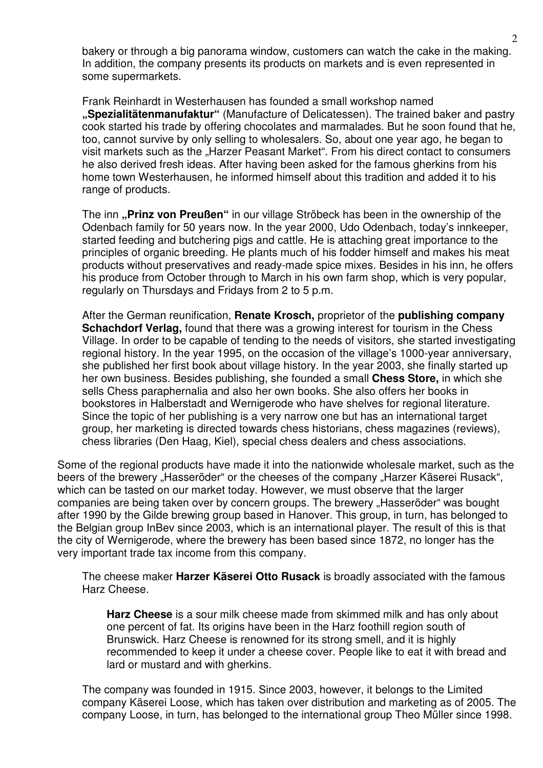bakery or through a big panorama window, customers can watch the cake in the making. In addition, the company presents its products on markets and is even represented in some supermarkets.

Frank Reinhardt in Westerhausen has founded a small workshop named **"Spezialitätenmanufaktur"** (Manufacture of Delicatessen). The trained baker and pastry cook started his trade by offering chocolates and marmalades. But he soon found that he, too, cannot survive by only selling to wholesalers. So, about one year ago, he began to visit markets such as the "Harzer Peasant Market". From his direct contact to consumers he also derived fresh ideas. After having been asked for the famous gherkins from his home town Westerhausen, he informed himself about this tradition and added it to his range of products.

The inn **"Prinz von Preußen"** in our village Ströbeck has been in the ownership of the Odenbach family for 50 years now. In the year 2000, Udo Odenbach, today's innkeeper, started feeding and butchering pigs and cattle. He is attaching great importance to the principles of organic breeding. He plants much of his fodder himself and makes his meat products without preservatives and ready-made spice mixes. Besides in his inn, he offers his produce from October through to March in his own farm shop, which is very popular, regularly on Thursdays and Fridays from 2 to 5 p.m.

After the German reunification, **Renate Krosch,** proprietor of the **publishing company Schachdorf Verlag,** found that there was a growing interest for tourism in the Chess Village. In order to be capable of tending to the needs of visitors, she started investigating regional history. In the year 1995, on the occasion of the village's 1000-year anniversary, she published her first book about village history. In the year 2003, she finally started up her own business. Besides publishing, she founded a small **Chess Store,** in which she sells Chess paraphernalia and also her own books. She also offers her books in bookstores in Halberstadt and Wernigerode who have shelves for regional literature. Since the topic of her publishing is a very narrow one but has an international target group, her marketing is directed towards chess historians, chess magazines (reviews), chess libraries (Den Haag, Kiel), special chess dealers and chess associations.

Some of the regional products have made it into the nationwide wholesale market, such as the beers of the brewery "Hasseröder" or the cheeses of the company "Harzer Käserei Rusack", which can be tasted on our market today. However, we must observe that the larger companies are being taken over by concern groups. The brewery "Hasseröder" was bought after 1990 by the Gilde brewing group based in Hanover. This group, in turn, has belonged to the Belgian group InBev since 2003, which is an international player. The result of this is that the city of Wernigerode, where the brewery has been based since 1872, no longer has the very important trade tax income from this company.

The cheese maker **Harzer Käserei Otto Rusack** is broadly associated with the famous Harz Cheese.

**Harz Cheese** is a sour milk cheese made from skimmed milk and has only about one percent of fat. Its origins have been in the Harz foothill region south of Brunswick. Harz Cheese is renowned for its strong smell, and it is highly recommended to keep it under a cheese cover. People like to eat it with bread and lard or mustard and with gherkins.

The company was founded in 1915. Since 2003, however, it belongs to the Limited company Käserei Loose, which has taken over distribution and marketing as of 2005. The company Loose, in turn, has belonged to the international group Theo Müller since 1998.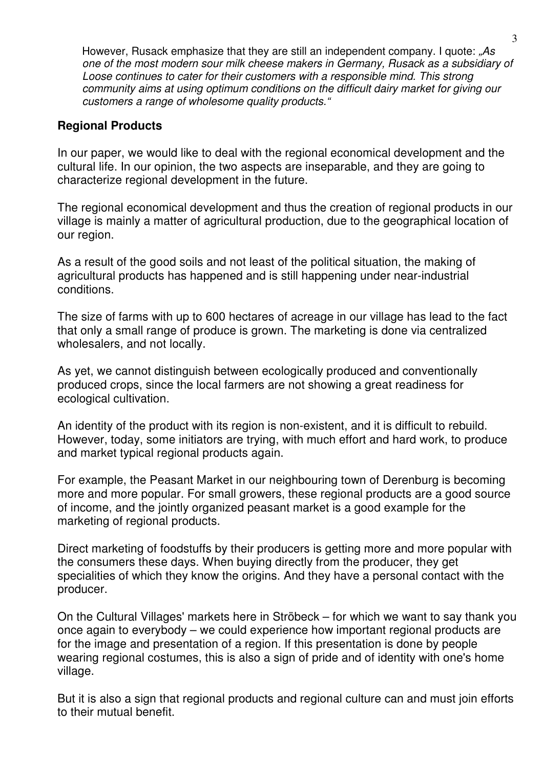However, Rusack emphasize that they are still an independent company. I quote: "As one of the most modern sour milk cheese makers in Germany, Rusack as a subsidiary of Loose continues to cater for their customers with a responsible mind. This strong community aims at using optimum conditions on the difficult dairy market for giving our customers a range of wholesome quality products."

## **Regional Products**

In our paper, we would like to deal with the regional economical development and the cultural life. In our opinion, the two aspects are inseparable, and they are going to characterize regional development in the future.

The regional economical development and thus the creation of regional products in our village is mainly a matter of agricultural production, due to the geographical location of our region.

As a result of the good soils and not least of the political situation, the making of agricultural products has happened and is still happening under near-industrial conditions.

The size of farms with up to 600 hectares of acreage in our village has lead to the fact that only a small range of produce is grown. The marketing is done via centralized wholesalers, and not locally.

As yet, we cannot distinguish between ecologically produced and conventionally produced crops, since the local farmers are not showing a great readiness for ecological cultivation.

An identity of the product with its region is non-existent, and it is difficult to rebuild. However, today, some initiators are trying, with much effort and hard work, to produce and market typical regional products again.

For example, the Peasant Market in our neighbouring town of Derenburg is becoming more and more popular. For small growers, these regional products are a good source of income, and the jointly organized peasant market is a good example for the marketing of regional products.

Direct marketing of foodstuffs by their producers is getting more and more popular with the consumers these days. When buying directly from the producer, they get specialities of which they know the origins. And they have a personal contact with the producer.

On the Cultural Villages' markets here in Ströbeck – for which we want to say thank you once again to everybody – we could experience how important regional products are for the image and presentation of a region. If this presentation is done by people wearing regional costumes, this is also a sign of pride and of identity with one's home village.

But it is also a sign that regional products and regional culture can and must join efforts to their mutual benefit.